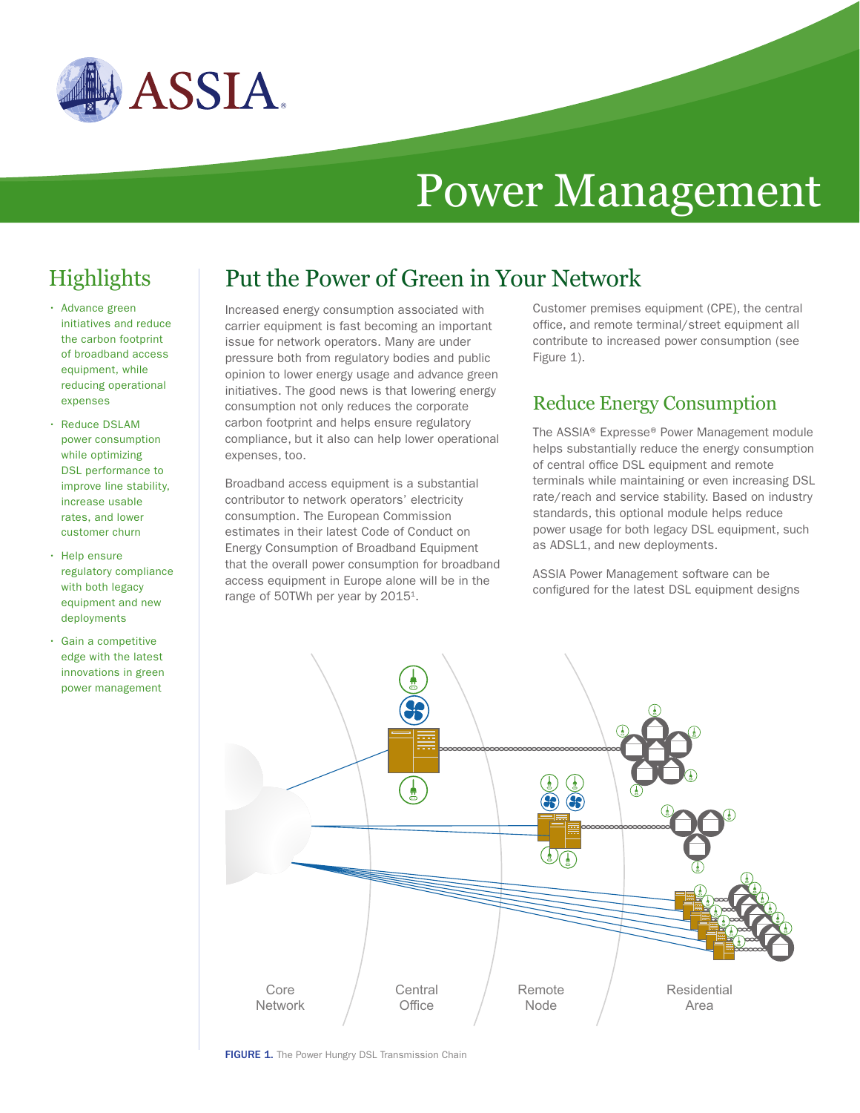

# Power Management

# **Highlights**

- Advance green initiatives and reduce the carbon footprint of broadband access equipment, while reducing operational expenses
- Reduce DSLAM power consumption while optimizing DSL performance to improve line stability, increase usable rates, and lower customer churn
- Help ensure regulatory compliance with both legacy equipment and new deployments
- Gain a competitive edge with the latest innovations in green power management

## Put the Power of Green in Your Network

Increased energy consumption associated with carrier equipment is fast becoming an important issue for network operators. Many are under pressure both from regulatory bodies and public opinion to lower energy usage and advance green initiatives. The good news is that lowering energy consumption not only reduces the corporate carbon footprint and helps ensure regulatory compliance, but it also can help lower operational expenses, too.

Broadband access equipment is a substantial contributor to network operators' electricity consumption. The European Commission estimates in their latest Code of Conduct on Energy Consumption of Broadband Equipment that the overall power consumption for broadband access equipment in Europe alone will be in the range of 50TWh per year by 2015<sup>1</sup>.

Customer premises equipment (CPE), the central office, and remote terminal/street equipment all contribute to increased power consumption (see Figure 1).

#### Reduce Energy Consumption

The ASSIA® Expresse® Power Management module helps substantially reduce the energy consumption of central office DSL equipment and remote terminals while maintaining or even increasing DSL rate/reach and service stability. Based on industry standards, this optional module helps reduce power usage for both legacy DSL equipment, such as ADSL1, and new deployments.

ASSIA Power Management software can be configured for the latest DSL equipment designs



FIGURE 1. The Power Hungry DSL Transmission Chain